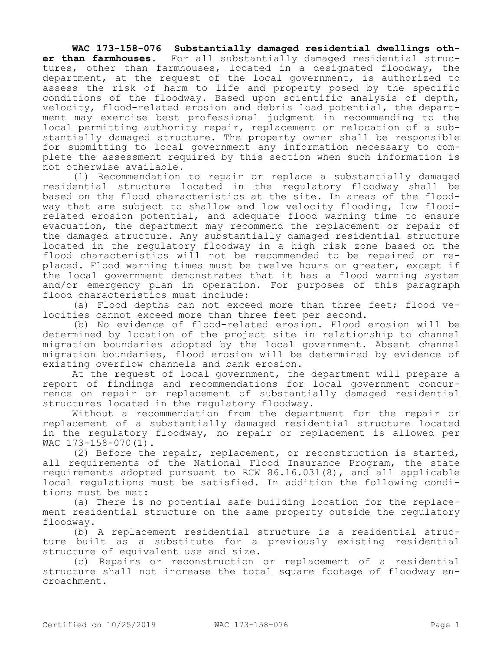**WAC 173-158-076 Substantially damaged residential dwellings other than farmhouses.** For all substantially damaged residential structures, other than farmhouses, located in a designated floodway, the department, at the request of the local government, is authorized to assess the risk of harm to life and property posed by the specific conditions of the floodway. Based upon scientific analysis of depth, velocity, flood-related erosion and debris load potential, the department may exercise best professional judgment in recommending to the local permitting authority repair, replacement or relocation of a substantially damaged structure. The property owner shall be responsible for submitting to local government any information necessary to complete the assessment required by this section when such information is not otherwise available.

(1) Recommendation to repair or replace a substantially damaged residential structure located in the regulatory floodway shall be based on the flood characteristics at the site. In areas of the floodway that are subject to shallow and low velocity flooding, low floodrelated erosion potential, and adequate flood warning time to ensure evacuation, the department may recommend the replacement or repair of the damaged structure. Any substantially damaged residential structure located in the regulatory floodway in a high risk zone based on the flood characteristics will not be recommended to be repaired or replaced. Flood warning times must be twelve hours or greater, except if the local government demonstrates that it has a flood warning system and/or emergency plan in operation. For purposes of this paragraph flood characteristics must include:

(a) Flood depths can not exceed more than three feet; flood velocities cannot exceed more than three feet per second.

(b) No evidence of flood-related erosion. Flood erosion will be determined by location of the project site in relationship to channel migration boundaries adopted by the local government. Absent channel migration boundaries, flood erosion will be determined by evidence of existing overflow channels and bank erosion.

At the request of local government, the department will prepare a report of findings and recommendations for local government concurrence on repair or replacement of substantially damaged residential structures located in the regulatory floodway.

Without a recommendation from the department for the repair or replacement of a substantially damaged residential structure located in the regulatory floodway, no repair or replacement is allowed per WAC 173-158-070(1).

(2) Before the repair, replacement, or reconstruction is started, all requirements of the National Flood Insurance Program, the state requirements adopted pursuant to RCW 86.16.031(8), and all applicable local regulations must be satisfied. In addition the following conditions must be met:

(a) There is no potential safe building location for the replacement residential structure on the same property outside the regulatory floodway.

(b) A replacement residential structure is a residential structure built as a substitute for a previously existing residential structure of equivalent use and size.

(c) Repairs or reconstruction or replacement of a residential structure shall not increase the total square footage of floodway encroachment.